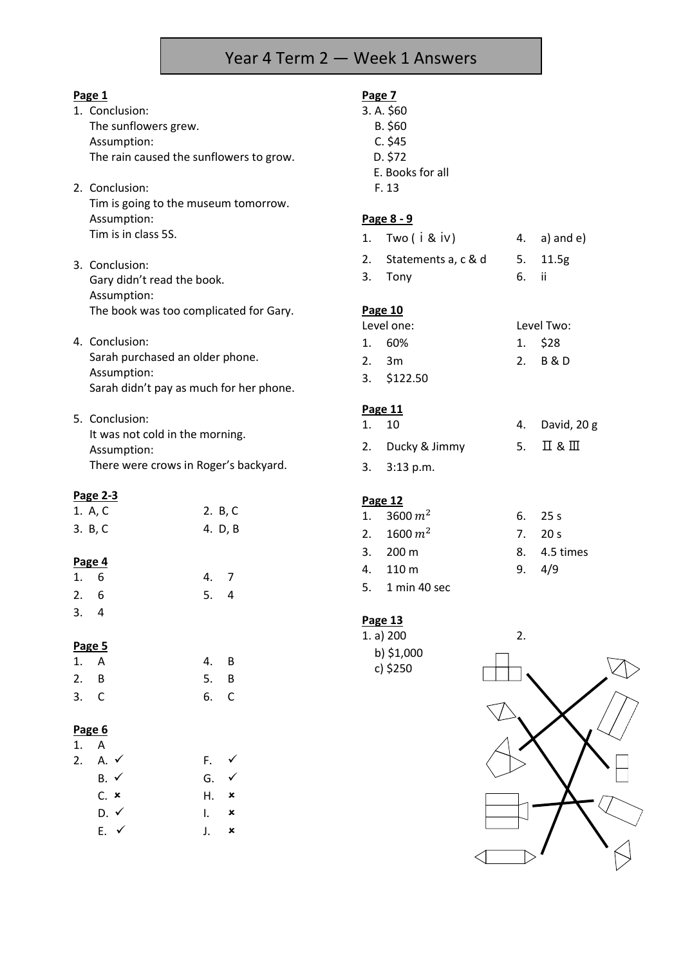## Year 4 Term 2 — Week 1 Answers

**Page 7**

|--|

- 1. Conclusion: The sunflowers grew. Assumption: The rain caused the sunflowers to grow.
- 2. Conclusion: Tim is going to the museum tomorrow. Assumption: Tim is in class 5S.
- 3. Conclusion: Gary didn't read the book. Assumption: The book was too complicated for Gary.
- 4. Conclusion: Sarah purchased an older phone. Assumption: Sarah didn't pay as much for her phone.
- 5. Conclusion: It was not cold in the morning. Assumption: There were crows in Roger's backyard.

#### **Page 2-3**

| 1. A, C | 2. B, C |
|---------|---------|
| 3. B, C | 4. D, B |

#### **Page 4**

| 1.6 |  |     | 4. 7 |
|-----|--|-----|------|
| 2.6 |  | 5.4 |      |
| 3.4 |  |     |      |

#### **Page 5**

| 1. A | 4. B |  |
|------|------|--|
| 2. B | 5. B |  |
| 3. C | 6. C |  |

#### **Page 6**

| 1. A |                    |                        |   |
|------|--------------------|------------------------|---|
|      | 2. A. $\checkmark$ | F. ✔                   |   |
|      | $B. \checkmark$    | G. $\checkmark$        |   |
|      | $C.$ $\times$      | $H^{\bullet}$ $\times$ |   |
|      | $D. \checkmark$    | I.                     | × |
|      | $E. \checkmark$    | $\mathbf{L}$           | × |

|                | 3. A. \$60<br>B. \$60<br>C. \$45 |    |               |
|----------------|----------------------------------|----|---------------|
|                | D. \$72                          |    |               |
|                | E. Books for all                 |    |               |
|                | F. 13                            |    |               |
|                | <u>Page 8 - 9</u>                |    |               |
| 1.             | Two ( i & iv )                   | 4. | $a)$ and $e)$ |
|                | 2. Statements a, c & d           | 5. | 11.5g         |
| 3.             | Tony                             | 6. | - ii          |
| <b>Page 10</b> | ۱۵۷۵ ام                          |    | Level Twor    |

| Level one: |                    | Level Two: |
|------------|--------------------|------------|
|            | 1. 60%             | $1.$ \$28  |
|            | 2.3m               | 2. B & D   |
|            | $3. \quad $122.50$ |            |

## **Page 11**

| 1. 10            | 4. David, 20 g |
|------------------|----------------|
| 2. Ducky & Jimmy | 5. II & III    |

3. 3:13 p.m.

## **Page 12**

| 1. 3600 $m^2$      | $6.$ 25 s    |
|--------------------|--------------|
| 2. 1600 $m^2$      | 7. 20 s      |
| 3. $200 \text{ m}$ | 8. 4.5 times |
| 4. 110 m           | 9.4/9        |
| 5. 1 min 40 sec    |              |

## **Page 13**

b) \$1,000 c) \$250